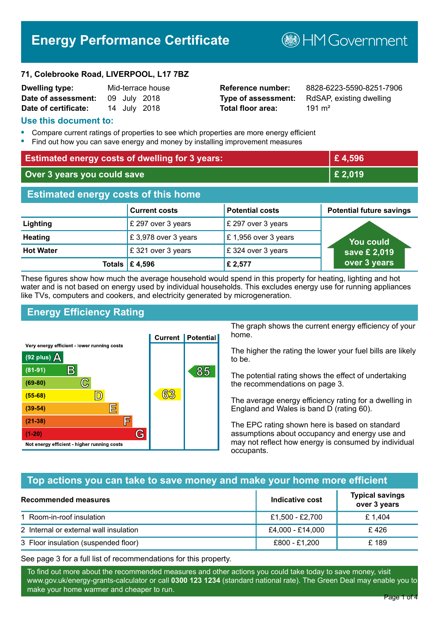# **Energy Performance Certificate**

**B**HM Government

#### **71, Colebrooke Road, LIVERPOOL, L17 7BZ**

| Dwelling type:       |  | Mid-terrace house |
|----------------------|--|-------------------|
| Date of assessment:  |  | 09 July 2018      |
| Date of certificate: |  | 14 July 2018      |

# **Total floor area:** 191 m<sup>2</sup>

**Reference number:** 8828-6223-5590-8251-7906 **Type of assessment:** RdSAP, existing dwelling

#### **Use this document to:**

- **•** Compare current ratings of properties to see which properties are more energy efficient
- **•** Find out how you can save energy and money by installing improvement measures

| <b>Estimated energy costs of dwelling for 3 years:</b> |                           | £4,596                 |                                 |
|--------------------------------------------------------|---------------------------|------------------------|---------------------------------|
| Over 3 years you could save                            |                           | £ 2,019                |                                 |
| <b>Estimated energy costs of this home</b>             |                           |                        |                                 |
|                                                        | <b>Current costs</b>      | <b>Potential costs</b> | <b>Potential future savings</b> |
| Lighting                                               | £ 297 over 3 years        | £ 297 over 3 years     |                                 |
| <b>Heating</b>                                         | £3,978 over 3 years       | £1,956 over 3 years    | <u>You could</u>                |
| <b>Hot Water</b>                                       | £321 over 3 years         | £324 over 3 years      | save £ 2,019                    |
|                                                        | Totals $\mathsf{E}$ 4,596 | £ 2,577                | over 3 years                    |

These figures show how much the average household would spend in this property for heating, lighting and hot water and is not based on energy used by individual households. This excludes energy use for running appliances like TVs, computers and cookers, and electricity generated by microgeneration.

# **Energy Efficiency Rating**



The graph shows the current energy efficiency of your home.

The higher the rating the lower your fuel bills are likely to be.

The potential rating shows the effect of undertaking the recommendations on page 3.

The average energy efficiency rating for a dwelling in England and Wales is band D (rating 60).

The EPC rating shown here is based on standard assumptions about occupancy and energy use and may not reflect how energy is consumed by individual occupants.

# **Top actions you can take to save money and make your home more efficient**

| Recommended measures                   | Indicative cost  | <b>Typical savings</b><br>over 3 years |
|----------------------------------------|------------------|----------------------------------------|
| 1 Room-in-roof insulation              | £1,500 - £2,700  | £1.404                                 |
| 2 Internal or external wall insulation | £4,000 - £14,000 | £426                                   |
| 3 Floor insulation (suspended floor)   | £800 - £1,200    | £ 189                                  |

See page 3 for a full list of recommendations for this property.

To find out more about the recommended measures and other actions you could take today to save money, visit www.gov.uk/energy-grants-calculator or call **0300 123 1234** (standard national rate). The Green Deal may enable you to make your home warmer and cheaper to run.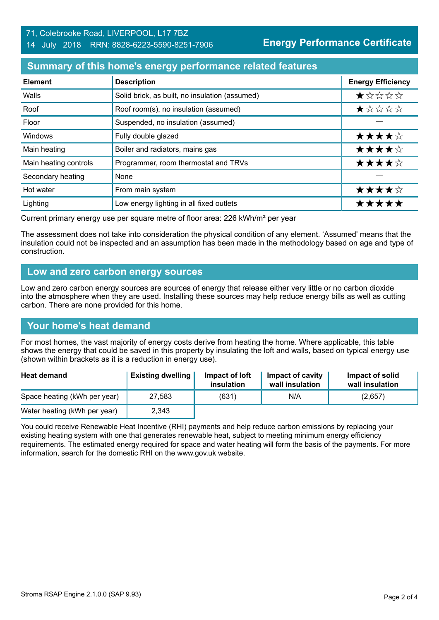#### 71, Colebrooke Road, LIVERPOOL, L17 7BZ 14 July 2018 RRN: 8828-6223-5590-8251-7906

**Energy Performance Certificate**

#### **Summary of this home's energy performance related features**

| <b>Element</b>        | <b>Description</b>                             | <b>Energy Efficiency</b> |
|-----------------------|------------------------------------------------|--------------------------|
| Walls                 | Solid brick, as built, no insulation (assumed) | *****                    |
| Roof                  | Roof room(s), no insulation (assumed)          | *****                    |
| Floor                 | Suspended, no insulation (assumed)             |                          |
| Windows               | Fully double glazed                            | ★★★★☆                    |
| Main heating          | Boiler and radiators, mains gas                | ★★★★☆                    |
| Main heating controls | Programmer, room thermostat and TRVs           | ★★★★☆                    |
| Secondary heating     | None                                           |                          |
| Hot water             | From main system                               | ★★★★☆                    |
| Lighting              | Low energy lighting in all fixed outlets       | *****                    |

Current primary energy use per square metre of floor area: 226 kWh/m² per year

The assessment does not take into consideration the physical condition of any element. 'Assumed' means that the insulation could not be inspected and an assumption has been made in the methodology based on age and type of construction.

#### **Low and zero carbon energy sources**

Low and zero carbon energy sources are sources of energy that release either very little or no carbon dioxide into the atmosphere when they are used. Installing these sources may help reduce energy bills as well as cutting carbon. There are none provided for this home.

# **Your home's heat demand**

For most homes, the vast majority of energy costs derive from heating the home. Where applicable, this table shows the energy that could be saved in this property by insulating the loft and walls, based on typical energy use (shown within brackets as it is a reduction in energy use).

| <b>Heat demand</b>           | <b>Existing dwelling</b> | Impact of loft<br>insulation | Impact of cavity<br>wall insulation | Impact of solid<br>wall insulation |
|------------------------------|--------------------------|------------------------------|-------------------------------------|------------------------------------|
| Space heating (kWh per year) | 27.583                   | (631)                        | N/A                                 | (2,657)                            |
| Water heating (kWh per year) | 2,343                    |                              |                                     |                                    |

You could receive Renewable Heat Incentive (RHI) payments and help reduce carbon emissions by replacing your existing heating system with one that generates renewable heat, subject to meeting minimum energy efficiency requirements. The estimated energy required for space and water heating will form the basis of the payments. For more information, search for the domestic RHI on the www.gov.uk website.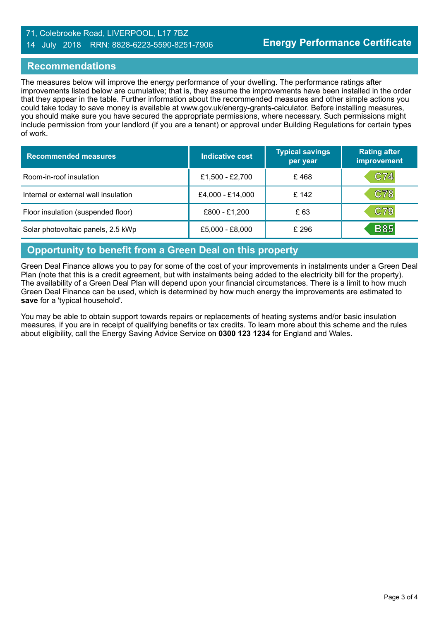#### 71, Colebrooke Road, LIVERPOOL, L17 7BZ 14 July 2018 RRN: 8828-6223-5590-8251-7906

#### **Recommendations**

The measures below will improve the energy performance of your dwelling. The performance ratings after improvements listed below are cumulative; that is, they assume the improvements have been installed in the order that they appear in the table. Further information about the recommended measures and other simple actions you could take today to save money is available at www.gov.uk/energy-grants-calculator. Before installing measures, you should make sure you have secured the appropriate permissions, where necessary. Such permissions might include permission from your landlord (if you are a tenant) or approval under Building Regulations for certain types of work.

| <b>Recommended measures</b>          | Indicative cost  | <b>Typical savings</b><br>per year | <b>Rating after</b><br>improvement |
|--------------------------------------|------------------|------------------------------------|------------------------------------|
| Room-in-roof insulation              | £1,500 - £2,700  | £468                               | C74                                |
| Internal or external wall insulation | £4,000 - £14,000 | £ 142                              | C78                                |
| Floor insulation (suspended floor)   | £800 - £1,200    | £63                                | C79                                |
| Solar photovoltaic panels, 2.5 kWp   | £5,000 - £8,000  | £ 296                              | <b>B85</b>                         |

# **Opportunity to benefit from a Green Deal on this property**

Green Deal Finance allows you to pay for some of the cost of your improvements in instalments under a Green Deal Plan (note that this is a credit agreement, but with instalments being added to the electricity bill for the property). The availability of a Green Deal Plan will depend upon your financial circumstances. There is a limit to how much Green Deal Finance can be used, which is determined by how much energy the improvements are estimated to **save** for a 'typical household'.

You may be able to obtain support towards repairs or replacements of heating systems and/or basic insulation measures, if you are in receipt of qualifying benefits or tax credits. To learn more about this scheme and the rules about eligibility, call the Energy Saving Advice Service on **0300 123 1234** for England and Wales.